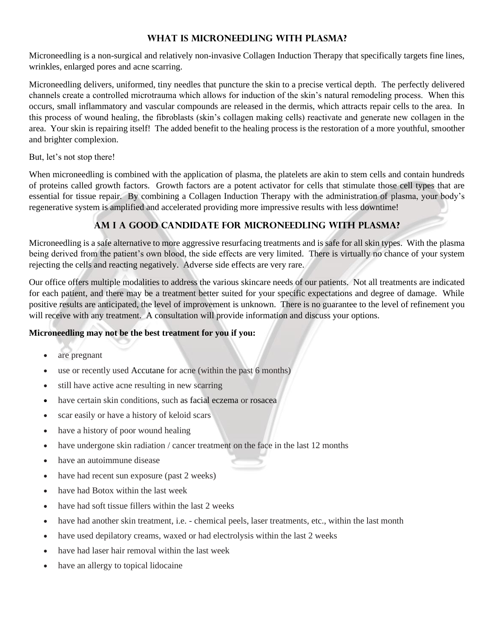#### **WHAT IS MICRONEEDLING WITH pLASMA?**

Microneedling is a non-surgical and relatively non-invasive Collagen Induction Therapy that specifically targets fine lines, wrinkles, enlarged pores and acne scarring.

Microneedling delivers, uniformed, tiny needles that puncture the skin to a precise vertical depth. The perfectly delivered channels create a controlled microtrauma which allows for induction of the skin's natural remodeling process. When this occurs, small inflammatory and vascular compounds are released in the dermis, which attracts repair cells to the area. In this process of wound healing, the fibroblasts (skin's collagen making cells) reactivate and generate new collagen in the area. Your skin is repairing itself! The added benefit to the healing process is the restoration of a more youthful, smoother and brighter complexion.

But, let's not stop there!

When microneedling is combined with the application of plasma, the platelets are akin to stem cells and contain hundreds of proteins called growth factors. Growth factors are a potent activator for cells that stimulate those cell types that are essential for tissue repair. By combining a Collagen Induction Therapy with the administration of plasma, your body's regenerative system is amplified and accelerated providing more impressive results with less downtime!

# **AM I A GOOD CANDIDATE FOR MICRONEEDLING WITH Plasma?**

Microneedling is a safe alternative to more aggressive resurfacing treatments and is safe for all skin types. With the plasma being derived from the patient's own blood, the side effects are very limited. There is virtually no chance of your system rejecting the cells and reacting negatively. Adverse side effects are very rare.

Our office offers multiple modalities to address the various skincare needs of our patients. Not all treatments are indicated for each patient, and there may be a treatment better suited for your specific expectations and degree of damage. While positive results are anticipated, the level of improvement is unknown. There is no guarantee to the level of refinement you will receive with any treatment. A consultation will provide information and discuss your options.

# **Microneedling may not be the best treatment for you if you:**

- are pregnant
- use or recently used [Accutane](https://www.healthline.com/health/accutane-side-effects-on-the-body) for acne (within the past 6 months)
- still have active acne resulting in new scarring
- have certain skin conditions, such as [facial eczema](https://www.healthline.com/health/types-of-eczema) or [rosacea](https://www.healthline.com/health/skin/rosacea)
- scar easily or have a history of keloid scars
- have a history of poor wound healing
- have undergone skin radiation / cancer treatment on the face in the last 12 months
- have an autoimmune disease
- have had recent sun exposure (past 2 weeks)
- have had Botox within the last week
- have had soft tissue fillers within the last 2 weeks
- have had another skin treatment, i.e. chemical peels, laser treatments, etc., within the last month
- have used depilatory creams, waxed or had electrolysis within the last 2 weeks
- have had laser hair removal within the last week
- have an allergy to topical lidocaine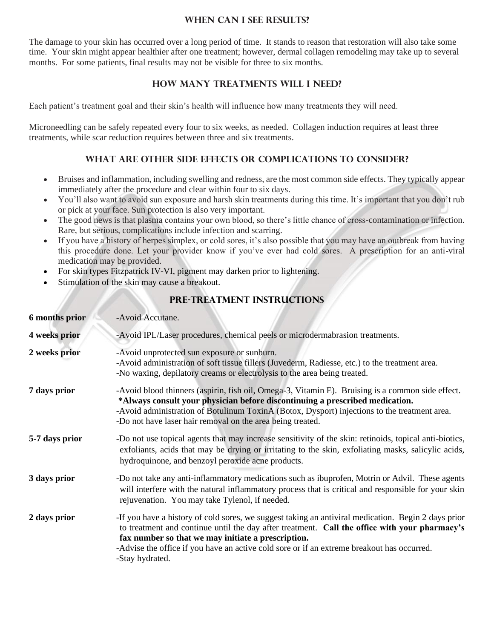#### **WHEN CAN I SEE RESULTS?**

The damage to your skin has occurred over a long period of time. It stands to reason that restoration will also take some time. Your skin might appear healthier after one treatment; however, dermal collagen remodeling may take up to several months. For some patients, final results may not be visible for three to six months.

#### **HOW MANY TREATMENTS WILL I NEED?**

Each patient's treatment goal and their skin's health will influence how many treatments they will need.

Microneedling can be safely repeated every four to six weeks, as needed. Collagen induction requires at least three treatments, while scar reduction requires between three and six treatments.

## **WHAT ARE OTHER SIDE EFFECTS OR COMPLICATIONS TO CONSIDER?**

- Bruises and inflammation, including swelling and redness, are the most common side effects. They typically appear immediately after the procedure and clear within four to six days.
- You'll also want to avoid sun exposure and harsh skin treatments during this time. It's important that you don't rub or pick at your face. Sun protection is also very important.
- The good news is that plasma contains your own blood, so there's little chance of cross-contamination or infection. Rare, but serious, complications include infection and scarring.
- If you have a history of herpes simplex, or cold sores, it's also possible that you may have an outbreak from having this procedure done. Let your provider know if you've ever had cold sores. A prescription for an anti-viral medication may be provided.
- For skin types Fitzpatrick IV-VI, pigment may darken prior to lightening.
- Stimulation of the skin may cause a breakout.

# **PRE-TREATMENT INSTRUCTIONS**

| <b>6</b> months prior | -Avoid Accutane.                                                                                                                                                                                                                                                                                                                                                            |
|-----------------------|-----------------------------------------------------------------------------------------------------------------------------------------------------------------------------------------------------------------------------------------------------------------------------------------------------------------------------------------------------------------------------|
| 4 weeks prior         | -Avoid IPL/Laser procedures, chemical peels or microdermabrasion treatments.                                                                                                                                                                                                                                                                                                |
| 2 weeks prior         | -Avoid unprotected sun exposure or sunburn.<br>-Avoid administration of soft tissue fillers (Juvederm, Radiesse, etc.) to the treatment area.<br>-No waxing, depilatory creams or electrolysis to the area being treated.                                                                                                                                                   |
| 7 days prior          | -Avoid blood thinners (aspirin, fish oil, Omega-3, Vitamin E). Bruising is a common side effect.<br>*Always consult your physician before discontinuing a prescribed medication.<br>-Avoid administration of Botulinum ToxinA (Botox, Dysport) injections to the treatment area.<br>-Do not have laser hair removal on the area being treated.                              |
| 5-7 days prior        | -Do not use topical agents that may increase sensitivity of the skin: retinoids, topical anti-biotics,<br>exfoliants, acids that may be drying or irritating to the skin, exfoliating masks, salicylic acids,<br>hydroquinone, and benzoyl peroxide acne products.                                                                                                          |
| 3 days prior          | -Do not take any anti-inflammatory medications such as ibuprofen, Motrin or Advil. These agents<br>will interfere with the natural inflammatory process that is critical and responsible for your skin<br>rejuvenation. You may take Tylenol, if needed.                                                                                                                    |
| 2 days prior          | -If you have a history of cold sores, we suggest taking an antiviral medication. Begin 2 days prior<br>to treatment and continue until the day after treatment. Call the office with your pharmacy's<br>fax number so that we may initiate a prescription.<br>-Advise the office if you have an active cold sore or if an extreme breakout has occurred.<br>-Stay hydrated. |